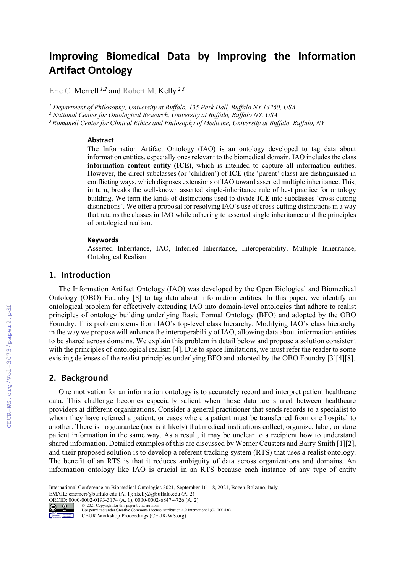# **Improving Biomedical Data by Improving the Information Artifact Ontology**

Eric C. Merrell *1,2* and Robert M. Kelly *2,3*

*<sup>1</sup> Department of Philosophy, University at Buffalo, 135 Park Hall, Buffalo NY 14260, USA*

*<sup>2</sup> National Center for Ontological Research, University at Buffalo, Buffalo NY, USA*

*<sup>3</sup> Romanell Center for Clinical Ethics and Philosophy of Medicine, University at Buffalo, Buffalo, NY*

#### **Abstract**

The Information Artifact Ontology (IAO) is an ontology developed to tag data about information entities, especially ones relevant to the biomedical domain. IAO includes the class **information content entity (ICE)**, which is intended to capture all information entities. However, the direct subclasses (or 'children') of **ICE** (the 'parent' class) are distinguished in conflicting ways, which disposes extensions of IAO toward asserted multiple inheritance. This, in turn, breaks the well-known asserted single-inheritance rule of best practice for ontology building. We term the kinds of distinctions used to divide **ICE** into subclasses 'cross-cutting distinctions'. We offer a proposal for resolving IAO's use of cross-cutting distinctions in a way that retains the classes in IAO while adhering to asserted single inheritance and the principles of ontological realism.

#### **Keywords**

Asserted Inheritance, IAO, Inferred Inheritance, Interoperability, Multiple Inheritance, Ontological Realism

#### **1. Introduction**

The Information Artifact Ontology (IAO) was developed by the Open Biological and Biomedical Ontology (OBO) Foundry [8] to tag data about information entities. In this paper, we identify an ontological problem for effectively extending IAO into domain-level ontologies that adhere to realist principles of ontology building underlying Basic Formal Ontology (BFO) and adopted by the OBO Foundry. This problem stems from IAO's top-level class hierarchy. Modifying IAO's class hierarchy in the way we propose will enhance the interoperability of IAO, allowing data about information entities to be shared across domains. We explain this problem in detail below and propose a solution consistent with the principles of ontological realism [4]. Due to space limitations, we must refer the reader to some existing defenses of the realist principles underlying BFO and adopted by the OBO Foundry [3][4][8].

#### **2. Background**

One motivation for an information ontology is to accurately record and interpret patient healthcare data. This challenge becomes especially salient when those data are shared between healthcare providers at different organizations. Consider a general practitioner that sends records to a specialist to whom they have referred a patient, or cases where a patient must be transferred from one hospital to another. There is no guarantee (nor is it likely) that medical institutions collect, organize, label, or store patient information in the same way. As a result, it may be unclear to a recipient how to understand shared information. Detailed examples of this are discussed by Werner Ceusters and Barry Smith [1][2], and their proposed solution is to develop a referent tracking system (RTS) that uses a realist ontology. The benefit of an RTS is that it reduces ambiguity of data across organizations and domains. An information ontology like IAO is crucial in an RTS because each instance of any type of entity

ORCID: 0000-0002-0193-3174 (A. 1); 0000-0002-6847-4726 (A. 2)



© 2021 Copyright for this paper by its authors. Use permitted under Creative Commons License Attribution 4.0 International (CC BY 4.0).

CEUR Workshop Proceedings (CEUR-WS.org)

International Conference on Biomedical Ontologies 2021, September 16–18, 2021, Bozen-Bolzano, Italy EMAIL: ericmerr@buffalo.edu (A. 1); rkelly2@buffalo.edu (A. 2)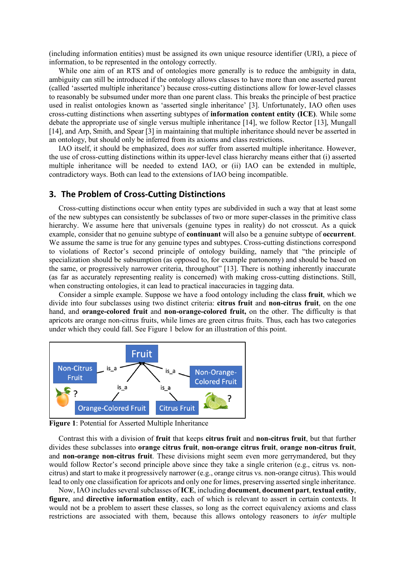(including information entities) must be assigned its own unique resource identifier (URI), a piece of information, to be represented in the ontology correctly.

While one aim of an RTS and of ontologies more generally is to reduce the ambiguity in data, ambiguity can still be introduced if the ontology allows classes to have more than one asserted parent (called 'asserted multiple inheritance') because cross-cutting distinctions allow for lower-level classes to reasonably be subsumed under more than one parent class. This breaks the principle of best practice used in realist ontologies known as 'asserted single inheritance' [3]. Unfortunately, IAO often uses cross-cutting distinctions when asserting subtypes of **information content entity (ICE)**. While some debate the appropriate use of single versus multiple inheritance [14], we follow Rector [13], Mungall [14], and Arp, Smith, and Spear [3] in maintaining that multiple inheritance should never be asserted in an ontology, but should only be inferred from its axioms and class restrictions.

IAO itself, it should be emphasized, does *not* suffer from asserted multiple inheritance. However, the use of cross-cutting distinctions within its upper-level class hierarchy means either that (i) asserted multiple inheritance will be needed to extend IAO, or (ii) IAO can be extended in multiple, contradictory ways. Both can lead to the extensions of IAO being incompatible.

#### **3. The Problem of Cross-Cutting Distinctions**

Cross-cutting distinctions occur when entity types are subdivided in such a way that at least some of the new subtypes can consistently be subclasses of two or more super-classes in the primitive class hierarchy. We assume here that universals (genuine types in reality) do not crosscut. As a quick example, consider that no genuine subtype of **continuant** will also be a genuine subtype of **occurrent**. We assume the same is true for any genuine types and subtypes. Cross-cutting distinctions correspond to violations of Rector's second principle of ontology building, namely that "the principle of specialization should be subsumption (as opposed to, for example partonomy) and should be based on the same, or progressively narrower criteria, throughout" [13]. There is nothing inherently inaccurate (as far as accurately representing reality is concerned) with making cross-cutting distinctions. Still, when constructing ontologies, it can lead to practical inaccuracies in tagging data.

Consider a simple example. Suppose we have a food ontology including the class **fruit**, which we divide into four subclasses using two distinct criteria: **citrus fruit** and **non-citrus fruit**, on the one hand, and **orange-colored fruit** and **non-orange-colored fruit,** on the other. The difficulty is that apricots are orange non-citrus fruits, while limes are green citrus fruits. Thus, each has two categories under which they could fall. See Figure 1 below for an illustration of this point.



**Figure 1**: Potential for Asserted Multiple Inheritance

Contrast this with a division of **fruit** that keeps **citrus fruit** and **non-citrus fruit**, but that further divides these subclasses into **orange citrus fruit**, **non-orange citrus fruit**, **orange non-citrus fruit**, and **non-orange non-citrus fruit**. These divisions might seem even more gerrymandered, but they would follow Rector's second principle above since they take a single criterion (e.g., citrus vs. noncitrus) and start to make it progressively narrower (e.g., orange citrus vs. non-orange citrus). This would lead to only one classification for apricots and only one for limes, preserving asserted single inheritance.

Now, IAO includes several subclasses of **ICE**, including **document**, **document part**, **textual entity**, **figure**, and **directive information entity**, each of which is relevant to assert in certain contexts. It would not be a problem to assert these classes, so long as the correct equivalency axioms and class restrictions are associated with them, because this allows ontology reasoners to *infer* multiple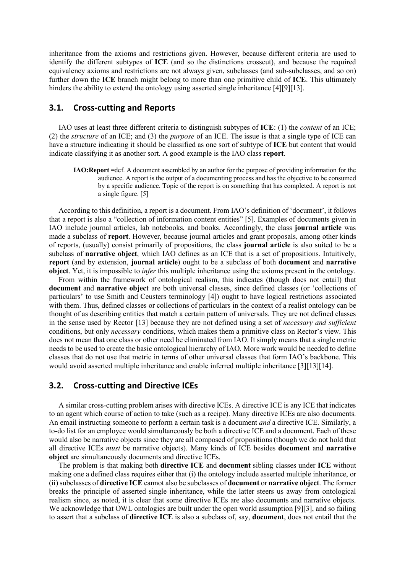inheritance from the axioms and restrictions given. However, because different criteria are used to identify the different subtypes of **ICE** (and so the distinctions crosscut), and because the required equivalency axioms and restrictions are not always given, subclasses (and sub-subclasses, and so on) further down the **ICE** branch might belong to more than one primitive child of **ICE**. This ultimately hinders the ability to extend the ontology using asserted single inheritance [4][9][13].

## **3.1. Cross-cutting and Reports**

IAO uses at least three different criteria to distinguish subtypes of **ICE**: (1) the *content* of an ICE; (2) the *structure* of an ICE; and (3) the *purpose* of an ICE. The issue is that a single type of ICE can have a structure indicating it should be classified as one sort of subtype of **ICE** but content that would indicate classifying it as another sort. A good example is the IAO class **report**.

**IAO:Report** =def. A document assembled by an author for the purpose of providing information for the audience. A report is the output of a documenting process and has the objective to be consumed by a specific audience. Topic of the report is on something that has completed. A report is not a single figure. [5]

According to this definition, a report is a document. From IAO's definition of 'document', it follows that a report is also a "collection of information content entities" [5]. Examples of documents given in IAO include journal articles, lab notebooks, and books. Accordingly, the class **journal article** was made a subclass of **report**. However, because journal articles and grant proposals, among other kinds of reports, (usually) consist primarily of propositions, the class **journal article** is also suited to be a subclass of **narrative object**, which IAO defines as an ICE that is a set of propositions. Intuitively, **report** (and by extension, **journal article**) ought to be a subclass of both **document** and **narrative object**. Yet, it is impossible to *infer* this multiple inheritance using the axioms present in the ontology.

From within the framework of ontological realism, this indicates (though does not entail) that **document** and **narrative object** are both universal classes, since defined classes (or 'collections of particulars' to use Smith and Ceusters terminology [4]) ought to have logical restrictions associated with them. Thus, defined classes or collections of particulars in the context of a realist ontology can be thought of as describing entities that match a certain pattern of universals. They are not defined classes in the sense used by Rector [13] because they are not defined using a set of *necessary and sufficient*  conditions, but only *necessary* conditions, which makes them a primitive class on Rector's view. This does not mean that one class or other need be eliminated from IAO. It simply means that a single metric needs to be used to create the basic ontological hierarchy of IAO. More work would be needed to define classes that do not use that metric in terms of other universal classes that form IAO's backbone. This would avoid asserted multiple inheritance and enable inferred multiple inheritance [3][13][14].

#### **3.2. Cross-cutting and Directive ICEs**

A similar cross-cutting problem arises with directive ICEs. A directive ICE is any ICE that indicates to an agent which course of action to take (such as a recipe). Many directive ICEs are also documents. An email instructing someone to perform a certain task is a document *and* a directive ICE. Similarly, a to-do list for an employee would simultaneously be both a directive ICE and a document. Each of these would also be narrative objects since they are all composed of propositions (though we do not hold that all directive ICEs *must* be narrative objects). Many kinds of ICE besides **document** and **narrative object** are simultaneously documents and directive ICEs.

The problem is that making both **directive ICE** and **document** sibling classes under **ICE** without making one a defined class requires either that (i) the ontology include asserted multiple inheritance, or (ii) subclasses of **directive ICE** cannot also be subclasses of **document** or **narrative object**. The former breaks the principle of asserted single inheritance, while the latter steers us away from ontological realism since, as noted, it is clear that some directive ICEs are also documents and narrative objects. We acknowledge that OWL ontologies are built under the open world assumption [9][3], and so failing to assert that a subclass of **directive ICE** is also a subclass of, say, **document**, does not entail that the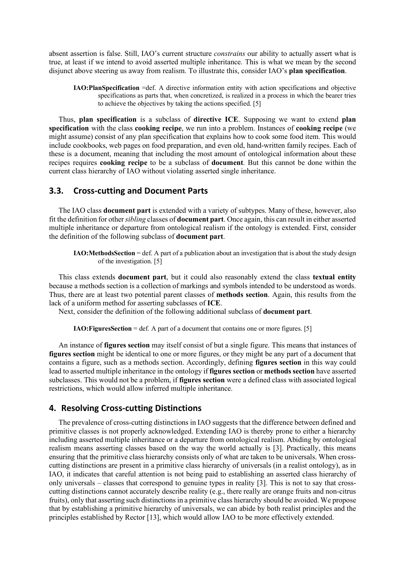absent assertion is false. Still, IAO's current structure *constrains* our ability to actually assert what is true, at least if we intend to avoid asserted multiple inheritance. This is what we mean by the second disjunct above steering us away from realism. To illustrate this, consider IAO's **plan specification**.

**IAO:PlanSpecification** =def. A directive information entity with action specifications and objective specifications as parts that, when concretized, is realized in a process in which the bearer tries to achieve the objectives by taking the actions specified. [5]

Thus, **plan specification** is a subclass of **directive ICE**. Supposing we want to extend **plan specification** with the class **cooking recipe**, we run into a problem. Instances of **cooking recipe** (we might assume) consist of any plan specification that explains how to cook some food item. This would include cookbooks, web pages on food preparation, and even old, hand-written family recipes. Each of these is a document, meaning that including the most amount of ontological information about these recipes requires **cooking recipe** to be a subclass of **document**. But this cannot be done within the current class hierarchy of IAO without violating asserted single inheritance.

#### **3.3. Cross-cutting and Document Parts**

The IAO class **document part** is extended with a variety of subtypes. Many of these, however, also fit the definition for other *sibling* classes of **document part**. Once again, this can result in either asserted multiple inheritance or departure from ontological realism if the ontology is extended. First, consider the definition of the following subclass of **document part**.

**IAO:MethodsSection** = def. A part of a publication about an investigation that is about the study design of the investigation. [5]

This class extends **document part**, but it could also reasonably extend the class **textual entity** because a methods section is a collection of markings and symbols intended to be understood as words. Thus, there are at least two potential parent classes of **methods section**. Again, this results from the lack of a uniform method for asserting subclasses of **ICE**.

Next, consider the definition of the following additional subclass of **document part**.

**IAO: Figures Section** = def. A part of a document that contains one or more figures. [5]

An instance of **figures section** may itself consist of but a single figure. This means that instances of **figures section** might be identical to one or more figures, or they might be any part of a document that contains a figure, such as a methods section. Accordingly, defining **figures section** in this way could lead to asserted multiple inheritance in the ontology if **figures section** or **methods section** have asserted subclasses. This would not be a problem, if **figures section** were a defined class with associated logical restrictions, which would allow inferred multiple inheritance.

#### **4. Resolving Cross-cutting Distinctions**

The prevalence of cross-cutting distinctions in IAO suggests that the difference between defined and primitive classes is not properly acknowledged. Extending IAO is thereby prone to either a hierarchy including asserted multiple inheritance or a departure from ontological realism. Abiding by ontological realism means asserting classes based on the way the world actually is [3]. Practically, this means ensuring that the primitive class hierarchy consists only of what are taken to be universals. When crosscutting distinctions are present in a primitive class hierarchy of universals (in a realist ontology), as in IAO, it indicates that careful attention is not being paid to establishing an asserted class hierarchy of only universals – classes that correspond to genuine types in reality [3]. This is not to say that crosscutting distinctions cannot accurately describe reality (e.g., there really are orange fruits and non-citrus fruits), only that asserting such distinctions in a primitive class hierarchy should be avoided. We propose that by establishing a primitive hierarchy of universals, we can abide by both realist principles and the principles established by Rector [13], which would allow IAO to be more effectively extended.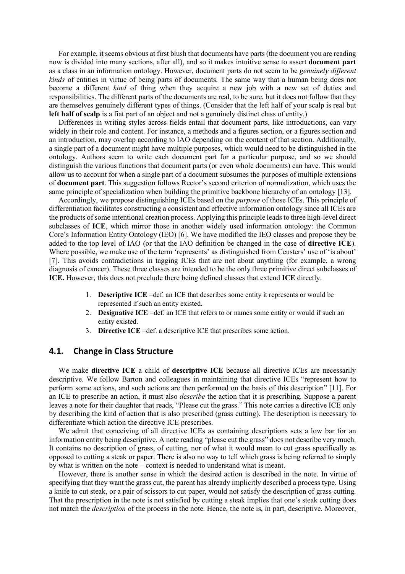For example, it seems obvious at first blush that documents have parts (the document you are reading now is divided into many sections, after all), and so it makes intuitive sense to assert **document part** as a class in an information ontology. However, document parts do not seem to be *genuinely different kinds* of entities in virtue of being parts of documents. The same way that a human being does not become a different *kind* of thing when they acquire a new job with a new set of duties and responsibilities. The different parts of the documents are real, to be sure, but it does not follow that they are themselves genuinely different types of things. (Consider that the left half of your scalp is real but left half of scalp is a fiat part of an object and not a genuinely distinct class of entity.)

Differences in writing styles across fields entail that document parts, like introductions, can vary widely in their role and content. For instance, a methods and a figures section, or a figures section and an introduction, may overlap according to IAO depending on the content of that section. Additionally, a single part of a document might have multiple purposes, which would need to be distinguished in the ontology. Authors seem to write each document part for a particular purpose, and so we should distinguish the various functions that document parts (or even whole documents) can have. This would allow us to account for when a single part of a document subsumes the purposes of multiple extensions of **document part**. This suggestion follows Rector's second criterion of normalization, which uses the same principle of specialization when building the primitive backbone hierarchy of an ontology [13].

Accordingly, we propose distinguishing ICEs based on the *purpose* of those ICEs. This principle of differentiation facilitates constructing a consistent and effective information ontology since all ICEs are the products of some intentional creation process. Applying this principle leads to three high-level direct subclasses of **ICE**, which mirror those in another widely used information ontology: the Common Core's Information Entity Ontology (IEO) [6]. We have modified the IEO classes and propose they be added to the top level of IAO (or that the IAO definition be changed in the case of **directive ICE**). Where possible, we make use of the term 'represents' as distinguished from Ceusters' use of 'is about' [7]. This avoids contradictions in tagging ICEs that are not about anything (for example, a wrong diagnosis of cancer). These three classes are intended to be the only three primitive direct subclasses of **ICE.** However, this does not preclude there being defined classes that extend **ICE** directly.

- 1. **Descriptive ICE** =def. an ICE that describes some entity it represents or would be represented if such an entity existed.
- 2. **Designative ICE** =def. an ICE that refers to or names some entity or would if such an entity existed.
- 3. **Directive ICE** =def. a descriptive ICE that prescribes some action.

#### **4.1. Change in Class Structure**

We make **directive ICE** a child of **descriptive ICE** because all directive ICEs are necessarily descriptive. We follow Barton and colleagues in maintaining that directive ICEs "represent how to perform some actions, and such actions are then performed on the basis of this description" [11]. For an ICE to prescribe an action, it must also *describe* the action that it is prescribing. Suppose a parent leaves a note for their daughter that reads, "Please cut the grass." This note carries a directive ICE only by describing the kind of action that is also prescribed (grass cutting). The description is necessary to differentiate which action the directive ICE prescribes.

We admit that conceiving of all directive ICEs as containing descriptions sets a low bar for an information entity being descriptive. A note reading "please cut the grass" does not describe very much. It contains no description of grass, of cutting, nor of what it would mean to cut grass specifically as opposed to cutting a steak or paper. There is also no way to tell which grass is being referred to simply by what is written on the note – context is needed to understand what is meant.

However, there is another sense in which the desired action is described in the note. In virtue of specifying that they want the grass cut, the parent has already implicitly described a process type. Using a knife to cut steak, or a pair of scissors to cut paper, would not satisfy the description of grass cutting. That the prescription in the note is not satisfied by cutting a steak implies that one's steak cutting does not match the *description* of the process in the note. Hence, the note is, in part, descriptive. Moreover,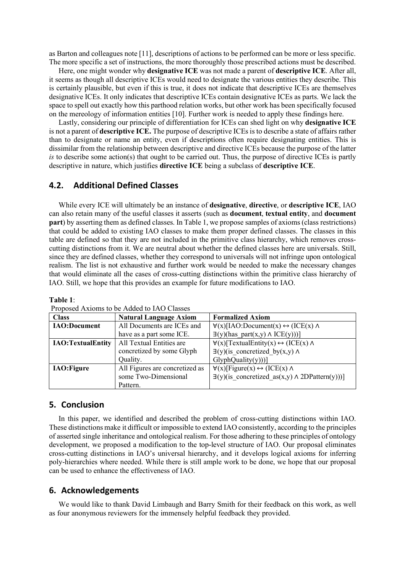as Barton and colleagues note [11], descriptions of actions to be performed can be more or less specific. The more specific a set of instructions, the more thoroughly those prescribed actions must be described.

Here, one might wonder why **designative ICE** was not made a parent of **descriptive ICE**. After all, it seems as though all descriptive ICEs would need to designate the various entities they describe. This is certainly plausible, but even if this is true, it does not indicate that descriptive ICEs are themselves designative ICEs. It only indicates that descriptive ICEs contain designative ICEs as parts. We lack the space to spell out exactly how this parthood relation works, but other work has been specifically focused on the mereology of information entities [10]. Further work is needed to apply these findings here.

Lastly, considering our principle of differentiation for ICEs can shed light on why **designative ICE** is not a parent of **descriptive ICE.** The purpose of descriptive ICEs is to describe a state of affairs rather than to designate or name an entity, even if descriptions often require designating entities. This is dissimilar from the relationship between descriptive and directive ICEs because the purpose of the latter *is* to describe some action(s) that ought to be carried out. Thus, the purpose of directive ICEs is partly descriptive in nature, which justifies **directive ICE** being a subclass of **descriptive ICE**.

## **4.2. Additional Defined Classes**

While every ICE will ultimately be an instance of **designative**, **directive**, or **descriptive ICE**, IAO can also retain many of the useful classes it asserts (such as **document**, **textual entity**, and **document part**) by asserting them as defined classes. In Table 1, we propose samples of axioms (class restrictions) that could be added to existing IAO classes to make them proper defined classes. The classes in this table are defined so that they are not included in the primitive class hierarchy, which removes crosscutting distinctions from it. We are neutral about whether the defined classes here are universals. Still, since they are defined classes, whether they correspond to universals will not infringe upon ontological realism. The list is not exhaustive and further work would be needed to make the necessary changes that would eliminate all the cases of cross-cutting distinctions within the primitive class hierarchy of IAO. Still, we hope that this provides an example for future modifications to IAO.

#### **Table 1**:

| <b>Class</b>             | <b>Natural Language Axiom</b>  | <b>Formalized Axiom</b>                                          |
|--------------------------|--------------------------------|------------------------------------------------------------------|
| <b>IAO:Document</b>      | All Documents are ICEs and     | $\forall$ (x)[IAO:Document(x) $\leftrightarrow$ (ICE(x) $\land$  |
|                          | have as a part some ICE.       | $\exists$ (y)(has part(x,y) $\land$ ICE(y)))]                    |
| <b>IAO:TextualEntity</b> | All Textual Entities are       | $\forall$ (x)[TextualEntity(x) $\leftrightarrow$ (ICE(x) $\land$ |
|                          | concretized by some Glyph      | $\exists$ (y)(is concretized by(x,y) $\wedge$                    |
|                          | Quality.                       | $GlyphQuality(y))$ ]                                             |
| <b>IAO:Figure</b>        | All Figures are concretized as | $\forall$ (x)[Figure(x) $\leftrightarrow$ (ICE(x) $\land$        |
|                          | some Two-Dimensional           | $\exists$ (y)(is concretized as(x,y) $\land$ 2DPattern(y)))]     |
|                          | Pattern.                       |                                                                  |

Proposed Axioms to be Added to IAO Classes

#### **5. Conclusion**

In this paper, we identified and described the problem of cross-cutting distinctions within IAO. These distinctions make it difficult or impossible to extend IAO consistently, according to the principles of asserted single inheritance and ontological realism. For those adhering to these principles of ontology development, we proposed a modification to the top-level structure of IAO. Our proposal eliminates cross-cutting distinctions in IAO's universal hierarchy, and it develops logical axioms for inferring poly-hierarchies where needed. While there is still ample work to be done, we hope that our proposal can be used to enhance the effectiveness of IAO.

#### **6. Acknowledgements**

We would like to thank David Limbaugh and Barry Smith for their feedback on this work, as well as four anonymous reviewers for the immensely helpful feedback they provided.